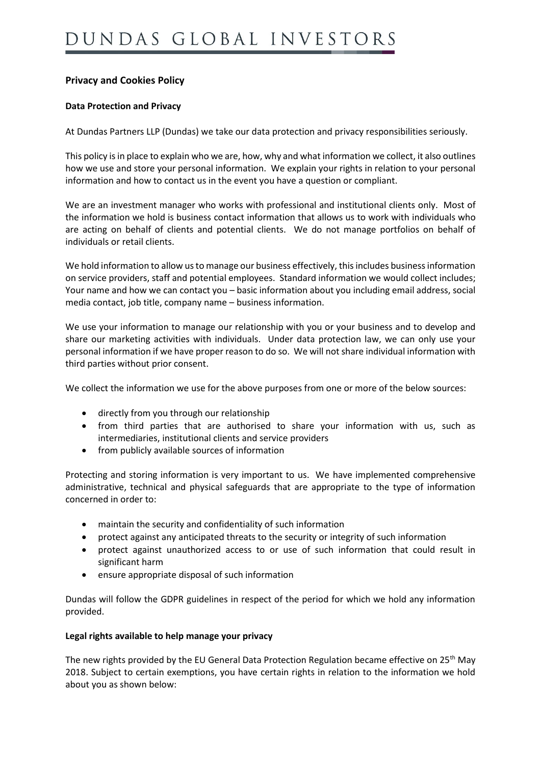# **Privacy and Cookies Policy**

## **Data Protection and Privacy**

At Dundas Partners LLP (Dundas) we take our data protection and privacy responsibilities seriously.

This policy is in place to explain who we are, how, why and what information we collect, it also outlines how we use and store your personal information. We explain your rights in relation to your personal information and how to contact us in the event you have a question or compliant.

We are an investment manager who works with professional and institutional clients only. Most of the information we hold is business contact information that allows us to work with individuals who are acting on behalf of clients and potential clients. We do not manage portfolios on behalf of individuals or retail clients.

We hold information to allow us to manage our business effectively, this includes business information on service providers, staff and potential employees. Standard information we would collect includes; Your name and how we can contact you – basic information about you including email address, social media contact, job title, company name – business information.

We use your information to manage our relationship with you or your business and to develop and share our marketing activities with individuals. Under data protection law, we can only use your personal information if we have proper reason to do so. We will not share individual information with third parties without prior consent.

We collect the information we use for the above purposes from one or more of the below sources:

- directly from you through our relationship
- from third parties that are authorised to share your information with us, such as intermediaries, institutional clients and service providers
- from publicly available sources of information

Protecting and storing information is very important to us. We have implemented comprehensive administrative, technical and physical safeguards that are appropriate to the type of information concerned in order to:

- maintain the security and confidentiality of such information
- protect against any anticipated threats to the security or integrity of such information
- protect against unauthorized access to or use of such information that could result in significant harm
- ensure appropriate disposal of such information

Dundas will follow the GDPR guidelines in respect of the period for which we hold any information provided.

### **Legal rights available to help manage your privacy**

The new rights provided by the EU General Data Protection Regulation became effective on 25<sup>th</sup> May 2018. Subject to certain exemptions, you have certain rights in relation to the information we hold about you as shown below: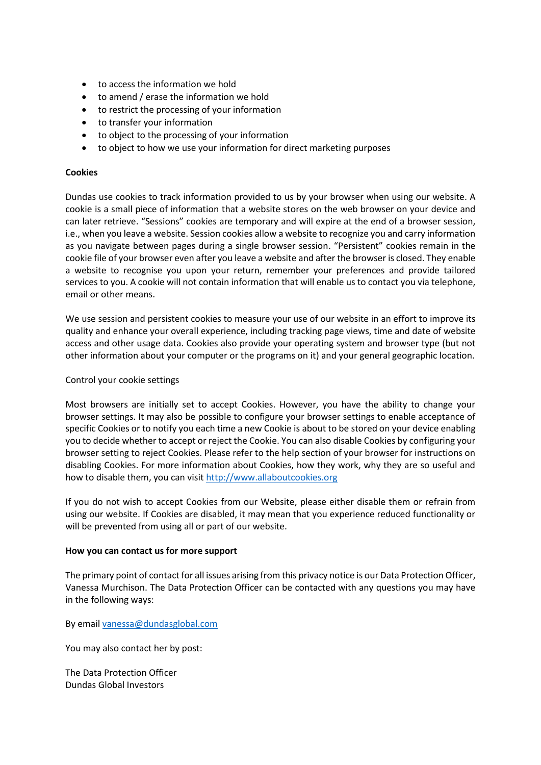- to access the information we hold
- to amend / erase the information we hold
- to restrict the processing of your information
- to transfer your information
- to object to the processing of your information
- to object to how we use your information for direct marketing purposes

#### **Cookies**

Dundas use cookies to track information provided to us by your browser when using our website. A cookie is a small piece of information that a website stores on the web browser on your device and can later retrieve. "Sessions" cookies are temporary and will expire at the end of a browser session, i.e., when you leave a website. Session cookies allow a website to recognize you and carry information as you navigate between pages during a single browser session. "Persistent" cookies remain in the cookie file of your browser even after you leave a website and after the browser is closed. They enable a website to recognise you upon your return, remember your preferences and provide tailored services to you. A cookie will not contain information that will enable us to contact you via telephone, email or other means.

We use session and persistent cookies to measure your use of our website in an effort to improve its quality and enhance your overall experience, including tracking page views, time and date of website access and other usage data. Cookies also provide your operating system and browser type (but not other information about your computer or the programs on it) and your general geographic location.

#### Control your cookie settings

Most browsers are initially set to accept Cookies. However, you have the ability to change your browser settings. It may also be possible to configure your browser settings to enable acceptance of specific Cookies or to notify you each time a new Cookie is about to be stored on your device enabling you to decide whether to accept or reject the Cookie. You can also disable Cookies by configuring your browser setting to reject Cookies. Please refer to the help section of your browser for instructions on disabling Cookies. For more information about Cookies, how they work, why they are so useful and how to disable them, you can visi[t http://www.allaboutcookies.org](http://www.allaboutcookies.org/)

If you do not wish to accept Cookies from our Website, please either disable them or refrain from using our website. If Cookies are disabled, it may mean that you experience reduced functionality or will be prevented from using all or part of our website.

#### **How you can contact us for more support**

The primary point of contact for all issues arising from this privacy notice is our Data Protection Officer, Vanessa Murchison. The Data Protection Officer can be contacted with any questions you may have in the following ways:

By emai[l vanessa@dundasglobal.com](mailto:vanessa@dundasglobal.com)

You may also contact her by post:

The Data Protection Officer Dundas Global Investors